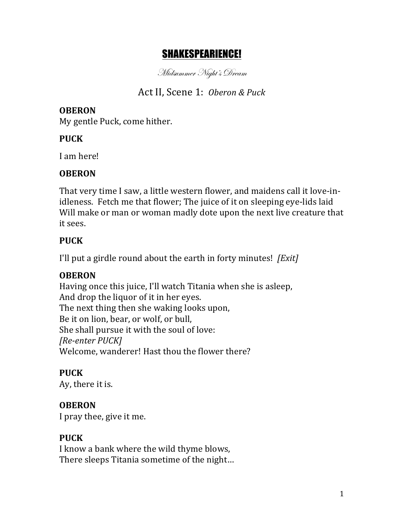# SHAKESPEARIENCE!

Midsummer Night's Dream

# Act II, Scene 1: *Oberon & Puck*

#### **OBERON**

My gentle Puck, come hither.

### **PUCK**

I am here!

### **OBERON**

That very time I saw, a little western flower, and maidens call it love-inidleness. Fetch me that flower; The juice of it on sleeping eye-lids laid Will make or man or woman madly dote upon the next live creature that it sees.

### **PUCK**

I'll put a girdle round about the earth in forty minutes! [*Exit*]

### **OBERON**

Having once this juice, I'll watch Titania when she is asleep, And drop the liquor of it in her eyes. The next thing then she waking looks upon, Be it on lion, bear, or wolf, or bull, She shall pursue it with the soul of love: *[Re-enter PUCK]* Welcome, wanderer! Hast thou the flower there?

## **PUCK**

Ay, there it is.

### **OBERON**

I pray thee, give it me.

### **PUCK**

I know a bank where the wild thyme blows, There sleeps Titania sometime of the night...